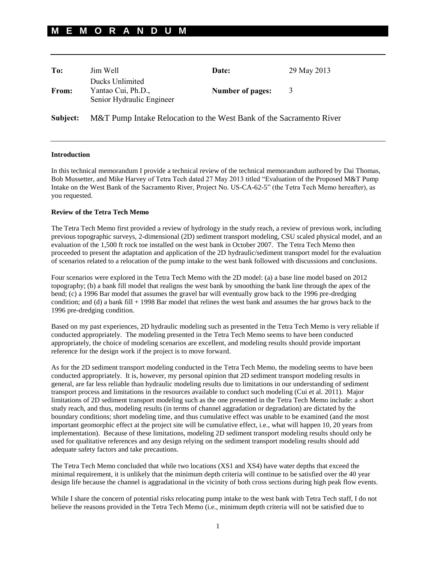## **M E M O R A N D U M**

| To:      | Jim Well                                                            | Date:                   | 29 May 2013 |
|----------|---------------------------------------------------------------------|-------------------------|-------------|
| From:    | Ducks Unlimited<br>Yantao Cui, Ph.D.,<br>Senior Hydraulic Engineer  | <b>Number of pages:</b> | 3           |
| Subject: | M&T Pump Intake Relocation to the West Bank of the Sacramento River |                         |             |

## **Introduction**

In this technical memorandum I provide a technical review of the technical memorandum authored by Dai Thomas, Bob Mussetter, and Mike Harvey of Tetra Tech dated 27 May 2013 titled "Evaluation of the Proposed M&T Pump Intake on the West Bank of the Sacramento River, Project No. US-CA-62-5" (the Tetra Tech Memo hereafter), as you requested.

## **Review of the Tetra Tech Memo**

The Tetra Tech Memo first provided a review of hydrology in the study reach, a review of previous work, including previous topographic surveys, 2-dimensional (2D) sediment transport modeling, CSU scaled physical model, and an evaluation of the 1,500 ft rock toe installed on the west bank in October 2007. The Tetra Tech Memo then proceeded to present the adaptation and application of the 2D hydraulic/sediment transport model for the evaluation of scenarios related to a relocation of the pump intake to the west bank followed with discussions and conclusions.

Four scenarios were explored in the Tetra Tech Memo with the 2D model: (a) a base line model based on 2012 topography; (b) a bank fill model that realigns the west bank by smoothing the bank line through the apex of the bend; (c) a 1996 Bar model that assumes the gravel bar will eventually grow back to the 1996 pre-dredging condition; and (d) a bank fill + 1998 Bar model that relines the west bank and assumes the bar grows back to the 1996 pre-dredging condition.

Based on my past experiences, 2D hydraulic modeling such as presented in the Tetra Tech Memo is very reliable if conducted appropriately. The modeling presented in the Tetra Tech Memo seems to have been conducted appropriately, the choice of modeling scenarios are excellent, and modeling results should provide important reference for the design work if the project is to move forward.

As for the 2D sediment transport modeling conducted in the Tetra Tech Memo, the modeling seems to have been conducted appropriately. It is, however, my personal opinion that 2D sediment transport modeling results in general, are far less reliable than hydraulic modeling results due to limitations in our understanding of sediment transport process and limitations in the resources available to conduct such modeling (Cui et al. 2011). Major limitations of 2D sediment transport modeling such as the one presented in the Tetra Tech Memo include: a short study reach, and thus, modeling results (in terms of channel aggradation or degradation) are dictated by the boundary conditions; short modeling time, and thus cumulative effect was unable to be examined (and the most important geomorphic effect at the project site will be cumulative effect, i.e., what will happen 10, 20 years from implementation). Because of these limitations, modeling 2D sediment transport modeling results should only be used for qualitative references and any design relying on the sediment transport modeling results should add adequate safety factors and take precautions.

The Tetra Tech Memo concluded that while two locations (XS1 and XS4) have water depths that exceed the minimal requirement, it is unlikely that the minimum depth criteria will continue to be satisfied over the 40 year design life because the channel is aggradational in the vicinity of both cross sections during high peak flow events.

While I share the concern of potential risks relocating pump intake to the west bank with Tetra Tech staff, I do not believe the reasons provided in the Tetra Tech Memo (i.e., minimum depth criteria will not be satisfied due to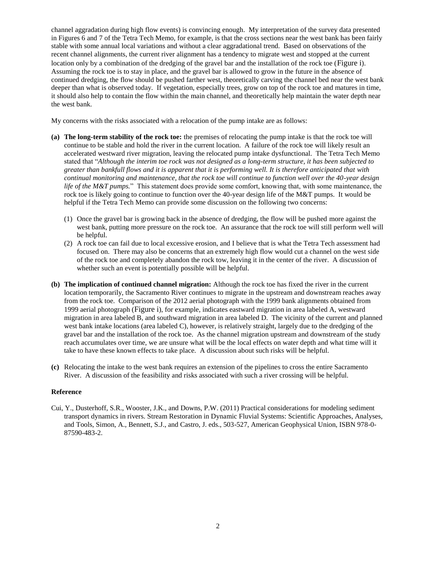channel aggradation during high flow events) is convincing enough. My interpretation of the survey data presented in Figures 6 and 7 of the Tetra Tech Memo, for example, is that the cross sections near the west bank has been fairly stable with some annual local variations and without a clear aggradational trend. Based on observations of the recent channel alignments, the current river alignment has a tendency to migrate west and stopped at the current location only by a combination of the dredging of the gravel bar and the installation of the rock toe ([Figure i](#page-2-0)). Assuming the rock toe is to stay in place, and the gravel bar is allowed to grow in the future in the absence of continued dredging, the flow should be pushed farther west, theoretically carving the channel bed near the west bank deeper than what is observed today. If vegetation, especially trees, grow on top of the rock toe and matures in time, it should also help to contain the flow within the main channel, and theoretically help maintain the water depth near the west bank.

My concerns with the risks associated with a relocation of the pump intake are as follows:

- **(a) The long-term stability of the rock toe:** the premises of relocating the pump intake is that the rock toe will continue to be stable and hold the river in the current location. A failure of the rock toe will likely result an accelerated westward river migration, leaving the relocated pump intake dysfunctional. The Tetra Tech Memo stated that "*Although the interim toe rock was not designed as a long-term structure, it has been subjected to greater than bankfull flows and it is apparent that it is performing well. It is therefore anticipated that with continual monitoring and maintenance, that the rock toe will continue to function well over the 40-year design life of the M&T pumps.*" This statement does provide some comfort, knowing that, with some maintenance, the rock toe is likely going to continue to function over the 40-year design life of the M&T pumps. It would be helpful if the Tetra Tech Memo can provide some discussion on the following two concerns:
	- (1) Once the gravel bar is growing back in the absence of dredging, the flow will be pushed more against the west bank, putting more pressure on the rock toe. An assurance that the rock toe will still perform well will be helpful.
	- (2) A rock toe can fail due to local excessive erosion, and I believe that is what the Tetra Tech assessment had focused on. There may also be concerns that an extremely high flow would cut a channel on the west side of the rock toe and completely abandon the rock tow, leaving it in the center of the river. A discussion of whether such an event is potentially possible will be helpful.
- **(b) The implication of continued channel migration:** Although the rock toe has fixed the river in the current location temporarily, the Sacramento River continues to migrate in the upstream and downstream reaches away from the rock toe. Comparison of the 2012 aerial photograph with the 1999 bank alignments obtained from 1999 aerial photograph ([Figure i](#page-2-0)), for example, indicates eastward migration in area labeled A, westward migration in area labeled B, and southward migration in area labeled D. The vicinity of the current and planned west bank intake locations (area labeled C), however, is relatively straight, largely due to the dredging of the gravel bar and the installation of the rock toe. As the channel migration upstream and downstream of the study reach accumulates over time, we are unsure what will be the local effects on water depth and what time will it take to have these known effects to take place. A discussion about such risks will be helpful.
- **(c)** Relocating the intake to the west bank requires an extension of the pipelines to cross the entire Sacramento River. A discussion of the feasibility and risks associated with such a river crossing will be helpful.

## **Reference**

Cui, Y., Dusterhoff, S.R., Wooster, J.K., and Downs, P.W. (2011) Practical considerations for modeling sediment transport dynamics in rivers. Stream Restoration in Dynamic Fluvial Systems: Scientific Approaches, Analyses, and Tools, Simon, A., Bennett, S.J., and Castro, J. eds., 503-527, American Geophysical Union, ISBN 978-0- 87590-483-2.